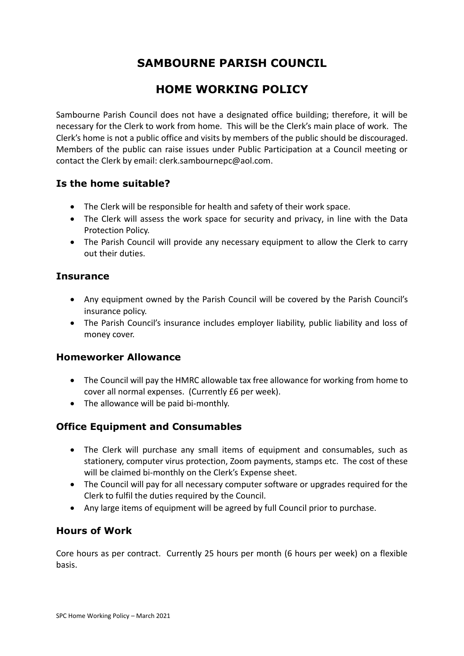# **SAMBOURNE PARISH COUNCIL**

# **HOME WORKING POLICY**

Sambourne Parish Council does not have a designated office building; therefore, it will be necessary for the Clerk to work from home. This will be the Clerk's main place of work. The Clerk's home is not a public office and visits by members of the public should be discouraged. Members of the public can raise issues under Public Participation at a Council meeting or contact the Clerk by email: clerk.sambournepc@aol.com.

# **Is the home suitable?**

- The Clerk will be responsible for health and safety of their work space.
- The Clerk will assess the work space for security and privacy, in line with the Data Protection Policy.
- The Parish Council will provide any necessary equipment to allow the Clerk to carry out their duties.

### **Insurance**

- Any equipment owned by the Parish Council will be covered by the Parish Council's insurance policy.
- The Parish Council's insurance includes employer liability, public liability and loss of money cover.

#### **Homeworker Allowance**

- The Council will pay the HMRC allowable tax free allowance for working from home to cover all normal expenses. (Currently £6 per week).
- The allowance will be paid bi-monthly.

# **Office Equipment and Consumables**

- The Clerk will purchase any small items of equipment and consumables, such as stationery, computer virus protection, Zoom payments, stamps etc. The cost of these will be claimed bi-monthly on the Clerk's Expense sheet.
- The Council will pay for all necessary computer software or upgrades required for the Clerk to fulfil the duties required by the Council.
- Any large items of equipment will be agreed by full Council prior to purchase.

#### **Hours of Work**

Core hours as per contract. Currently 25 hours per month (6 hours per week) on a flexible basis.